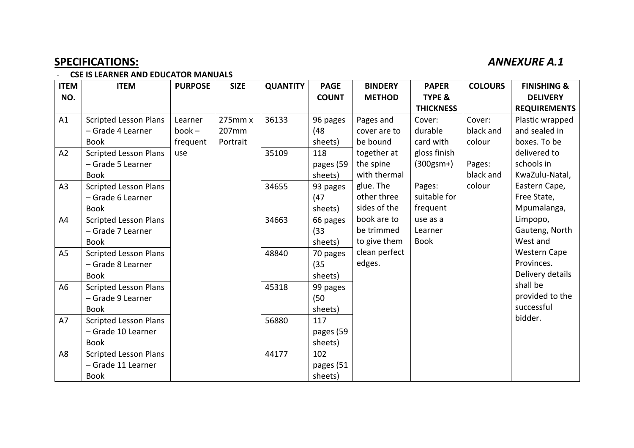## **SPECIFICATIONS:** *ANNEXURE A.1*

## - **CSE IS LEARNER AND EDUCATOR MANUALS**

| <b>ITEM</b>    | <b>ITEM</b>                  | <b>PURPOSE</b> | <b>SIZE</b> | <b>QUANTITY</b> | <b>PAGE</b>  | <b>BINDERY</b> | <b>PAPER</b>      | <b>COLOURS</b> | <b>FINISHING &amp;</b> |
|----------------|------------------------------|----------------|-------------|-----------------|--------------|----------------|-------------------|----------------|------------------------|
| NO.            |                              |                |             |                 | <b>COUNT</b> | <b>METHOD</b>  | <b>TYPE &amp;</b> |                | <b>DELIVERY</b>        |
|                |                              |                |             |                 |              |                | <b>THICKNESS</b>  |                | <b>REQUIREMENTS</b>    |
| A1             | <b>Scripted Lesson Plans</b> | Learner        | 275mm x     | 36133           | 96 pages     | Pages and      | Cover:            | Cover:         | Plastic wrapped        |
|                | - Grade 4 Learner            | $book -$       | 207mm       |                 | (48)         | cover are to   | durable           | black and      | and sealed in          |
|                | <b>Book</b>                  | frequent       | Portrait    |                 | sheets)      | be bound       | card with         | colour         | boxes. To be           |
| A2             | <b>Scripted Lesson Plans</b> | use            |             | 35109           | 118          | together at    | gloss finish      |                | delivered to           |
|                | - Grade 5 Learner            |                |             |                 | pages (59    | the spine      | $(300gsm+)$       | Pages:         | schools in             |
|                | <b>Book</b>                  |                |             |                 | sheets)      | with thermal   |                   | black and      | KwaZulu-Natal,         |
| A <sub>3</sub> | <b>Scripted Lesson Plans</b> |                |             | 34655           | 93 pages     | glue. The      | Pages:            | colour         | Eastern Cape,          |
|                | - Grade 6 Learner            |                |             |                 | (47)         | other three    | suitable for      |                | Free State,            |
|                | <b>Book</b>                  |                |             |                 | sheets)      | sides of the   | frequent          |                | Mpumalanga,            |
| A4             | <b>Scripted Lesson Plans</b> |                |             | 34663           | 66 pages     | book are to    | use as a          |                | Limpopo,               |
|                | - Grade 7 Learner            |                |             |                 | (33)         | be trimmed     | Learner           |                | Gauteng, North         |
|                | <b>Book</b>                  |                |             |                 | sheets)      | to give them   | <b>Book</b>       |                | West and               |
| A <sub>5</sub> | <b>Scripted Lesson Plans</b> |                |             | 48840           | 70 pages     | clean perfect  |                   |                | <b>Western Cape</b>    |
|                | - Grade 8 Learner            |                |             |                 | (35)         | edges.         |                   |                | Provinces.             |
|                | <b>Book</b>                  |                |             |                 | sheets)      |                |                   |                | Delivery details       |
| A <sub>6</sub> | <b>Scripted Lesson Plans</b> |                |             | 45318           | 99 pages     |                |                   |                | shall be               |
|                | - Grade 9 Learner            |                |             |                 | (50)         |                |                   |                | provided to the        |
|                | <b>Book</b>                  |                |             |                 | sheets)      |                |                   |                | successful             |
| A7             | <b>Scripted Lesson Plans</b> |                |             | 56880           | 117          |                |                   |                | bidder.                |
|                | - Grade 10 Learner           |                |             |                 | pages (59    |                |                   |                |                        |
|                | <b>Book</b>                  |                |             |                 | sheets)      |                |                   |                |                        |
| A <sub>8</sub> | <b>Scripted Lesson Plans</b> |                |             | 44177           | 102          |                |                   |                |                        |
|                | - Grade 11 Learner           |                |             |                 | pages (51    |                |                   |                |                        |
|                | <b>Book</b>                  |                |             |                 | sheets)      |                |                   |                |                        |